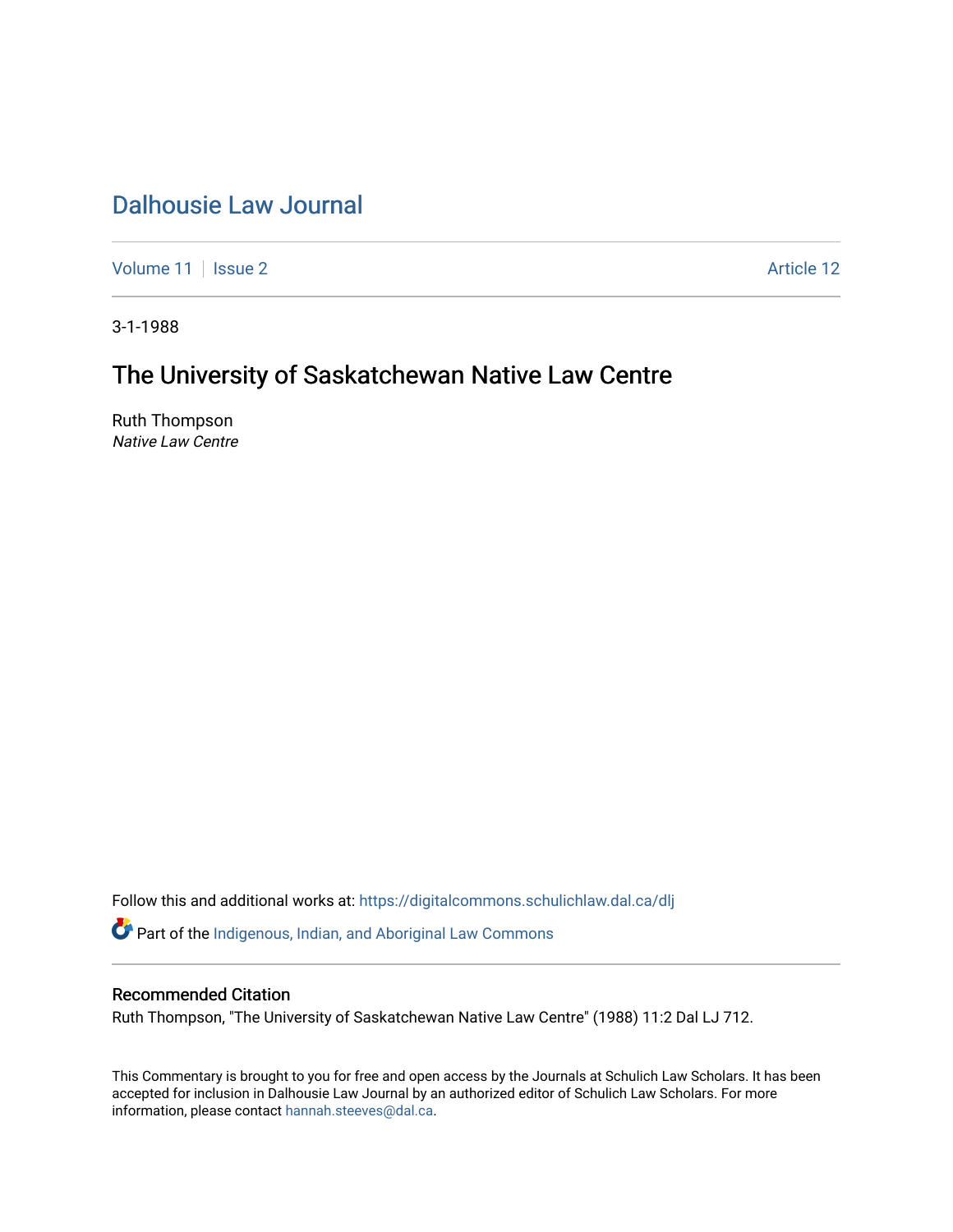## [Dalhousie Law Journal](https://digitalcommons.schulichlaw.dal.ca/dlj)

[Volume 11](https://digitalcommons.schulichlaw.dal.ca/dlj/vol11) | [Issue 2](https://digitalcommons.schulichlaw.dal.ca/dlj/vol11/iss2) Article 12

3-1-1988

# The University of Saskatchewan Native Law Centre

Ruth Thompson Native Law Centre

Follow this and additional works at: [https://digitalcommons.schulichlaw.dal.ca/dlj](https://digitalcommons.schulichlaw.dal.ca/dlj?utm_source=digitalcommons.schulichlaw.dal.ca%2Fdlj%2Fvol11%2Fiss2%2F12&utm_medium=PDF&utm_campaign=PDFCoverPages)  Part of the [Indigenous, Indian, and Aboriginal Law Commons](http://network.bepress.com/hgg/discipline/894?utm_source=digitalcommons.schulichlaw.dal.ca%2Fdlj%2Fvol11%2Fiss2%2F12&utm_medium=PDF&utm_campaign=PDFCoverPages) 

### Recommended Citation

Ruth Thompson, "The University of Saskatchewan Native Law Centre" (1988) 11:2 Dal LJ 712.

This Commentary is brought to you for free and open access by the Journals at Schulich Law Scholars. It has been accepted for inclusion in Dalhousie Law Journal by an authorized editor of Schulich Law Scholars. For more information, please contact [hannah.steeves@dal.ca](mailto:hannah.steeves@dal.ca).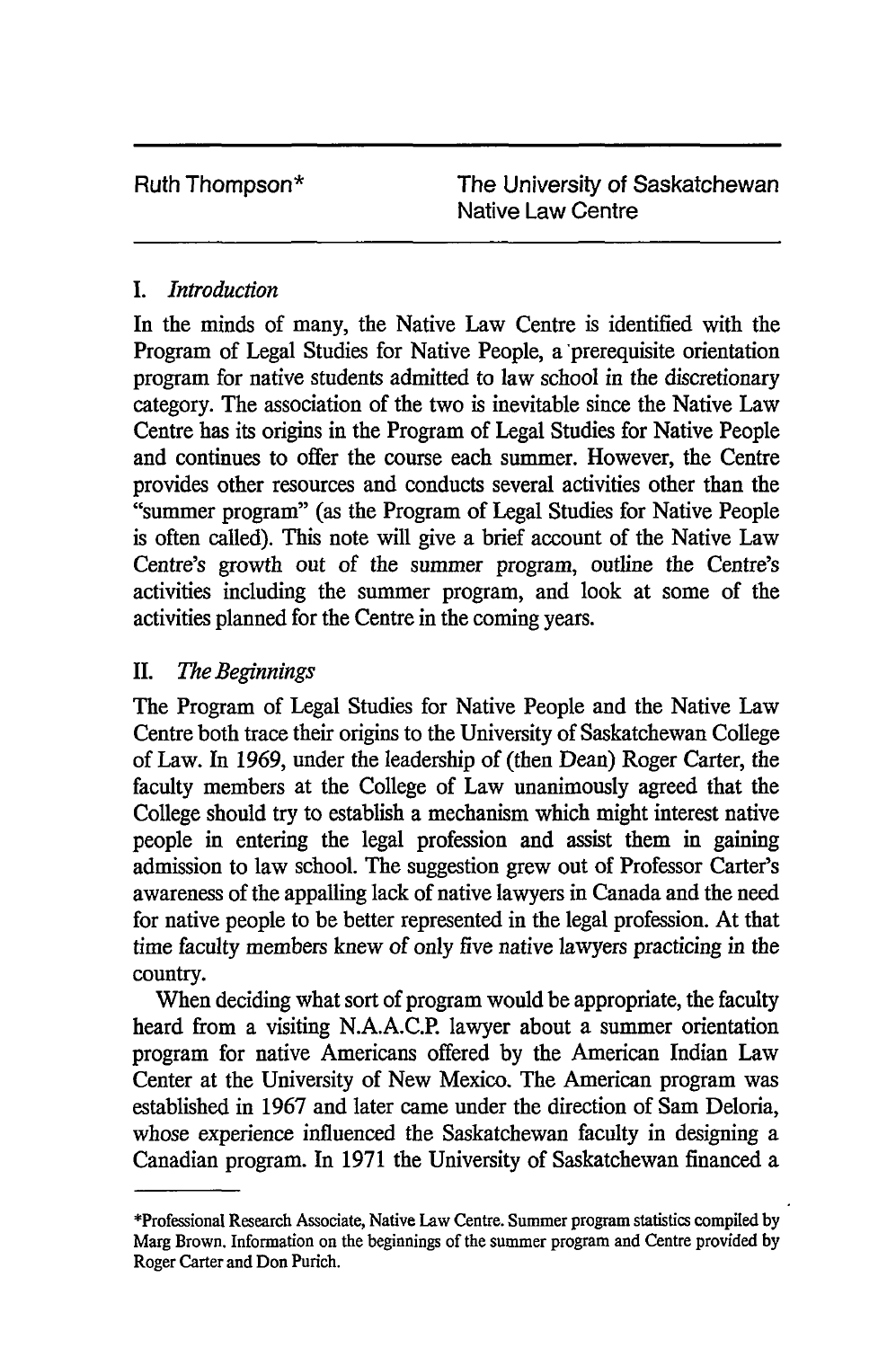Ruth Thompson\* The University of Saskatchewan Native Law Centre

### *I. Introduction*

In the minds of many, the Native Law Centre is identified with the Program of Legal Studies for Native People, a prerequisite orientation program for native students admitted to law school in the discretionary category. The association of the two is inevitable since the Native Law Centre has its origins in the Program of Legal Studies for Native People and continues to offer the course each summer. However, the Centre provides other resources and conducts several activities other than the "summer program" (as the Program of Legal Studies for Native People is often called). This note will give a brief account of the Native Law Centre's growth out of the summer program, outline the Centre's activities including the summer program, and look at some of the activities planned for the Centre in the coming years.

### II. *The Beginnings*

The Program of Legal Studies for Native People and the Native Law Centre both trace their origins to the University of Saskatchewan College of Law. In 1969, under the leadership of (then Dean) Roger Carter, the faculty members at the College of Law unanimously agreed that the College should try to establish a mechanism which might interest native people in entering the legal profession and assist them in gaining admission to law school. The suggestion grew out of Professor Carter's awareness of the appalling lack of native lawyers in Canada and the need for native people to be better represented in the legal profession. At that time faculty members knew of only five native lawyers practicing in the country.

When deciding what sort of program would be appropriate, the faculty heard from a visiting N.A.A.C.P. lawyer about a summer orientation program for native Americans offered by the American Indian Law Center at the University of New Mexico. The American program was established in 1967 and later came under the direction of Sam Deloria, whose experience influenced the Saskatchewan faculty in designing a Canadian program. In 1971 the University of Saskatchewan financed a

<sup>\*</sup>Professional Research Associate, Native Law Centre. Summer program statistics compiled by Marg Brown. Information on the beginnings of the summer program and Centre provided by Roger Carter and Don Purich.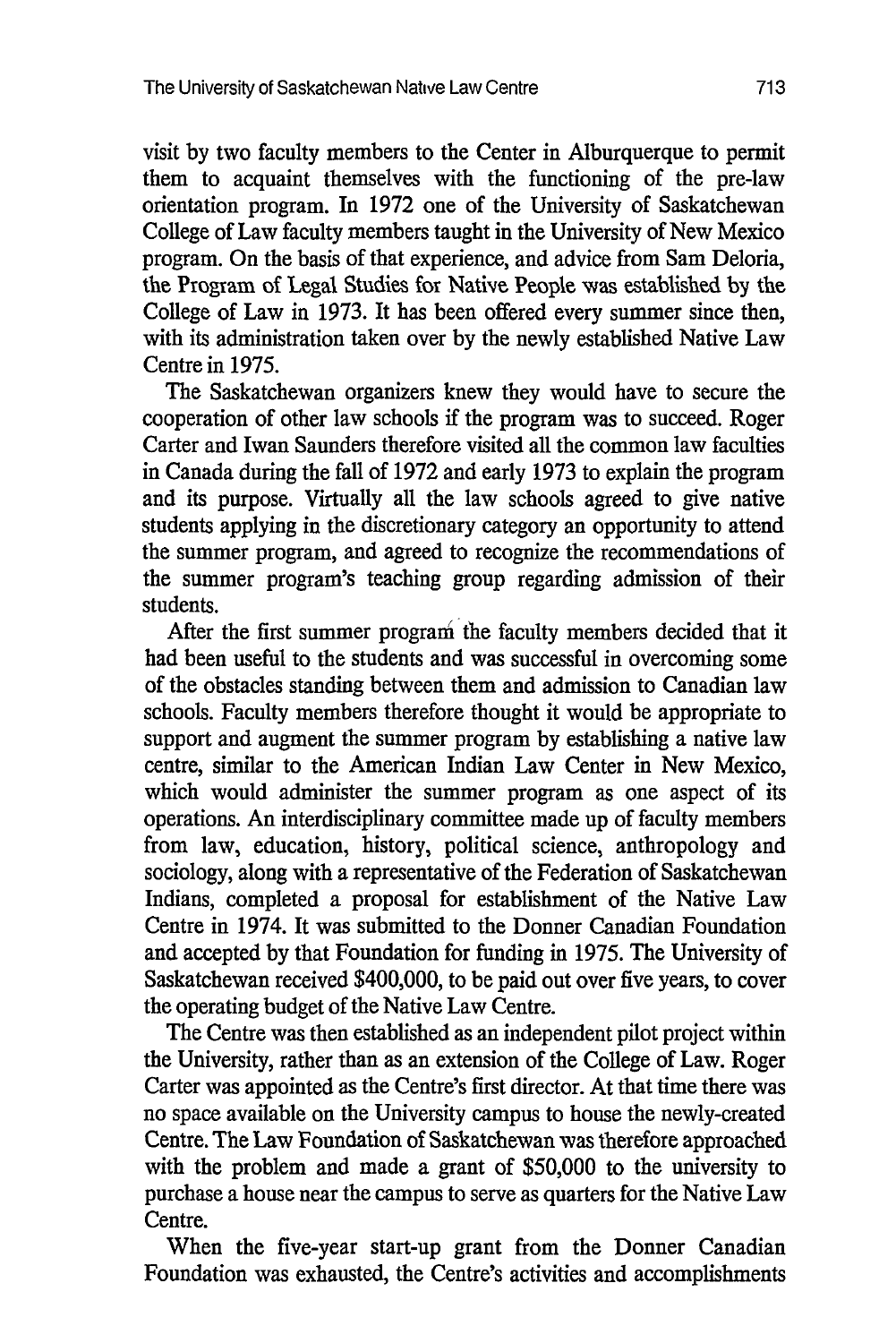visit by two faculty members to the Center in Alburquerque to permit them to acquaint themselves with the functioning of the pre-law orientation program. In 1972 one of the University of Saskatchewan College of Law faculty members taught in the University of New Mexico program. On the basis of that experience, and advice from Sam Deloria, the Program of Legal Studies for Native People was established by the College of Law in 1973. It has been offered every summer since then, with its administration taken over by the newly established Native Law Centre in 1975.

The Saskatchewan organizers knew they would have to secure the cooperation of other law schools if the program was to succeed. Roger Carter and Iwan Saunders therefore visited all the common law faculties in Canada during the fall of 1972 and early 1973 to explain the program and its purpose. Virtually all the law schools agreed to give native students applying in the discretionary category an opportunity to attend the summer program, and agreed to recognize the recommendations of the summer program's teaching group regarding admission of their students.

After the first summer program the faculty members decided that it had been useful to the students and was successful in overcoming some of the obstacles standing between them and admission to Canadian law schools. Faculty members therefore thought it would be appropriate to support and augment the summer program by establishing a native law centre, similar to the American Indian Law Center in New Mexico, which would administer the summer program as one aspect of its operations. An interdisciplinary committee made up of faculty members from law, education, history, political science, anthropology and sociology, along with a representative of the Federation of Saskatchewan Indians, completed a proposal for establishment of the Native Law Centre in 1974. It was submitted to the Donner Canadian Foundation and accepted by that Foundation for funding in 1975. The University of Saskatchewan received \$400,000, to be paid out over five years, to cover the operating budget of the Native Law Centre.

The Centre was then established as an independent pilot project within the University, rather than as an extension of the College of Law. Roger Carter was appointed as the Centre's first director. At that time there was no space available on the University campus to house the newly-created Centre. The Law Foundation of Saskatchewan was therefore approached with the problem and made a grant of \$50,000 to the university to purchase a house near the campus to serve as quarters for the Native Law Centre.

When the five-year start-up grant from the Donner Canadian Foundation was exhausted, the Centre's activities and accomplishments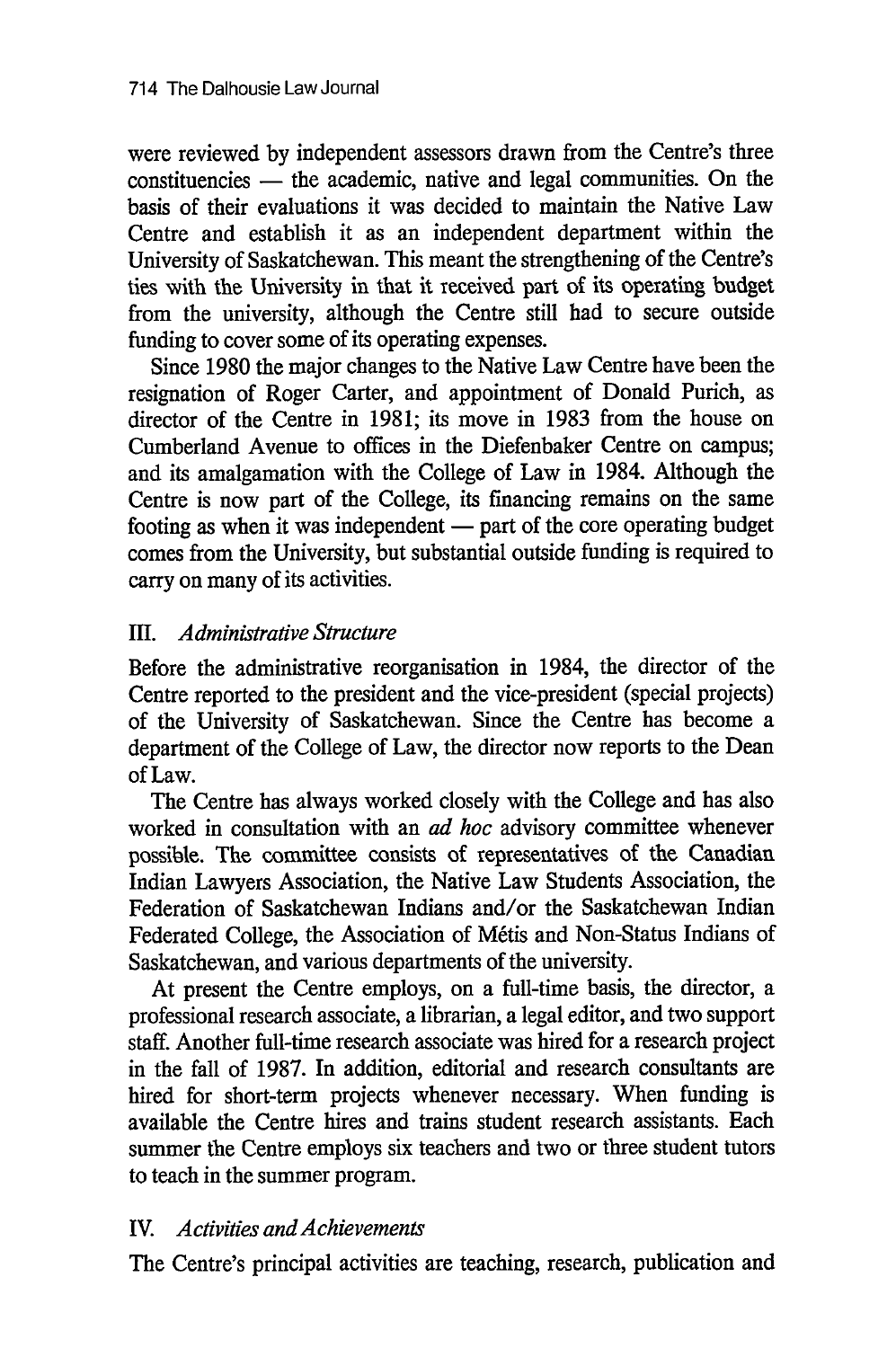were reviewed by independent assessors drawn from the Centre's three constituencies - the academic, native and legal communities. On the basis of their evaluations it was decided to maintain the Native Law Centre and establish it as an independent department within the University of Saskatchewan. This meant the strengthening of the Centre's ties with the University in that it received part of its operating budget from the university, although the Centre still had to secure outside funding to cover some of its operating expenses.

Since 1980 the major changes to the Native Law Centre have been the resignation of Roger Carter, and appointment of Donald Purich, as director of the Centre in 1981; its move in 1983 from the house on Cumberland Avenue to offices in the Diefenbaker Centre on campus; and its amalgamation with the College of Law in 1984. Although the Centre is now part of the College, its financing remains on the same footing as when it was independent — part of the core operating budget comes from the University, but substantial outside funding is required to carry on many of its activities.

#### III. *Administrative Structure*

Before the administrative reorganisation in 1984, the director of the Centre reported to the president and the vice-president (special projects) of the University of Saskatchewan. Since the Centre has become a department of the College of Law, the director now reports to the Dean of Law.

The Centre has always worked closely with the College and has also worked in consultation with an *ad hoc* advisory committee whenever possible. The committee consists of representatives of the Canadian Indian Lawyers Association, the Native Law Students Association, the Federation of Saskatchewan Indians and/or the Saskatchewan Indian Federated College, the Association of Métis and Non-Status Indians of Saskatchewan, and various departments of the university.

At present the Centre employs, on a full-time basis, the director, a professional research associate, a librarian, a legal editor, and two support staff. Another full-time research associate was hired for a research project in the fall of 1987. In addition, editorial and research consultants are hired for short-term projects whenever necessary. When funding is available the Centre hires and trains student research assistants. Each summer the Centre employs six teachers and two or three student tutors to teach in the summer program.

#### IV. *Activities and Achievements*

The Centre's principal activities are teaching, research, publication and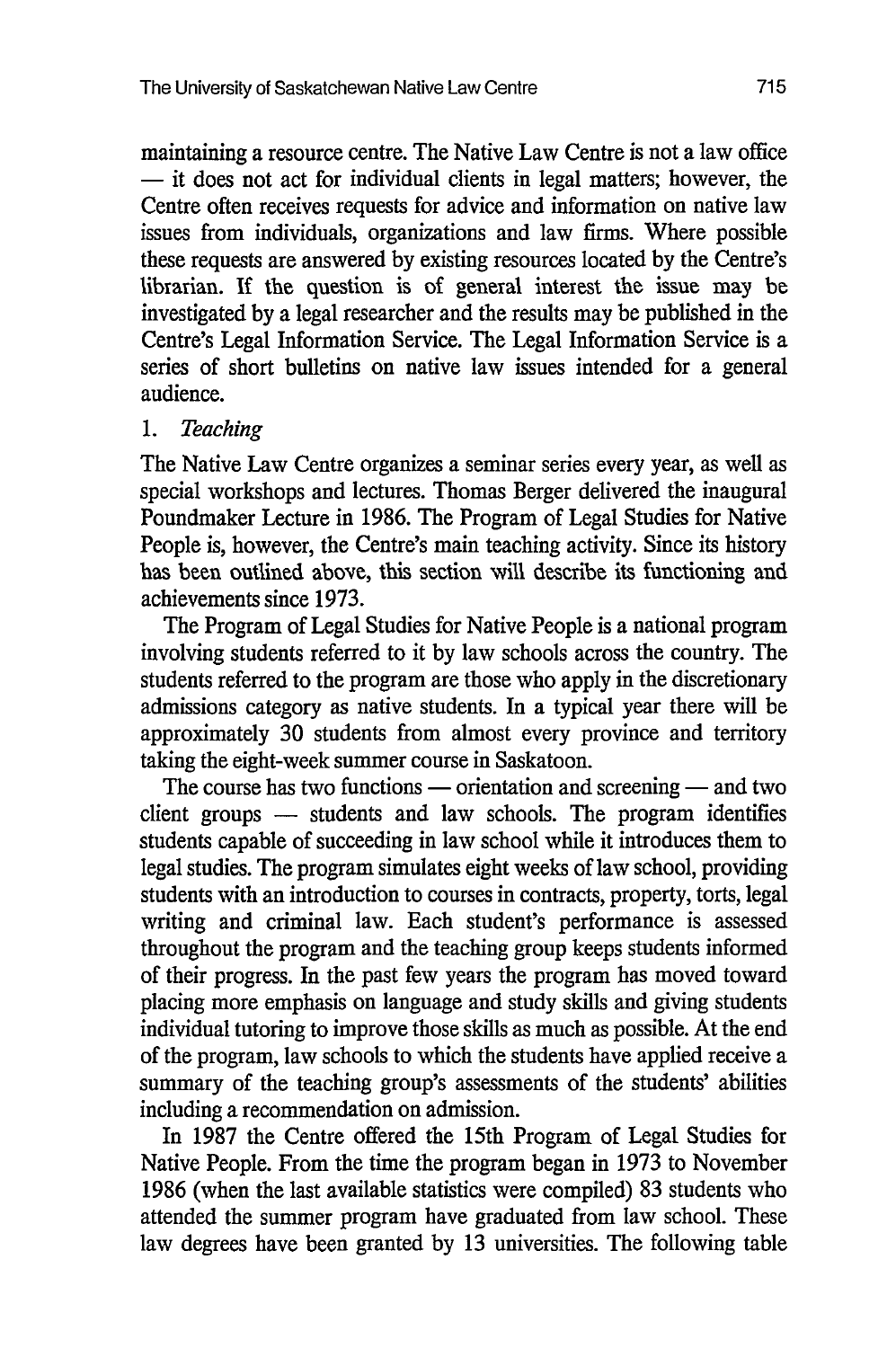maintaining a resource centre. The Native Law Centre is not a law office **-** it does not act for individual clients in legal matters; however, the Centre often receives requests for advice and information on native law issues from individuals, organizations and law firms. Where possible these requests are answered by existing resources located by the Centre's librarian. If the question is of general interest the issue may be investigated by a legal researcher and the results may be published in the Centre's Legal Information Service. The Legal Information Service is a series of short bulletins on native law issues intended for a general audience.

#### *1. Teaching*

The Native Law Centre organizes a seminar series every year, as well as special workshops and lectures. Thomas Berger delivered the inaugural Poundmaker Lecture in 1986. The Program of Legal Studies for Native People is, however, the Centre's main teaching activity. Since its history has been outlined above, this section will describe its functioning and achievements since 1973.

The Program of Legal Studies for Native People is a national program involving students referred to it by law schools across the country. The students referred to the program are those who apply in the discretionary admissions category as native students. In a typical year there will be approximately 30 students from almost every province and territory taking the eight-week summer course in Saskatoon.

The course has two functions — orientation and screening — and two client groups - students and law schools. The program identifies students capable of succeeding in law school while it introduces them to legal studies. The program simulates eight weeks of law school, providing students with an introduction to courses in contracts, property, torts, legal writing and criminal law. Each student's performance is assessed throughout the program and the teaching group keeps students informed of their progress. In the past few years the program has moved toward placing more emphasis on language and study skills and giving students individual tutoring to improve those skills as much as possible. At the end of the program, law schools to which the students have applied receive a summary of the teaching group's assessments of the students' abilities including a recommendation on admission.

In 1987 the Centre offered the 15th Program of Legal Studies for Native People. From the time the program began in 1973 to November 1986 (when the last available statistics were compiled) 83 students who attended the summer program have graduated from law school. These law degrees have been granted by 13 universities. The following table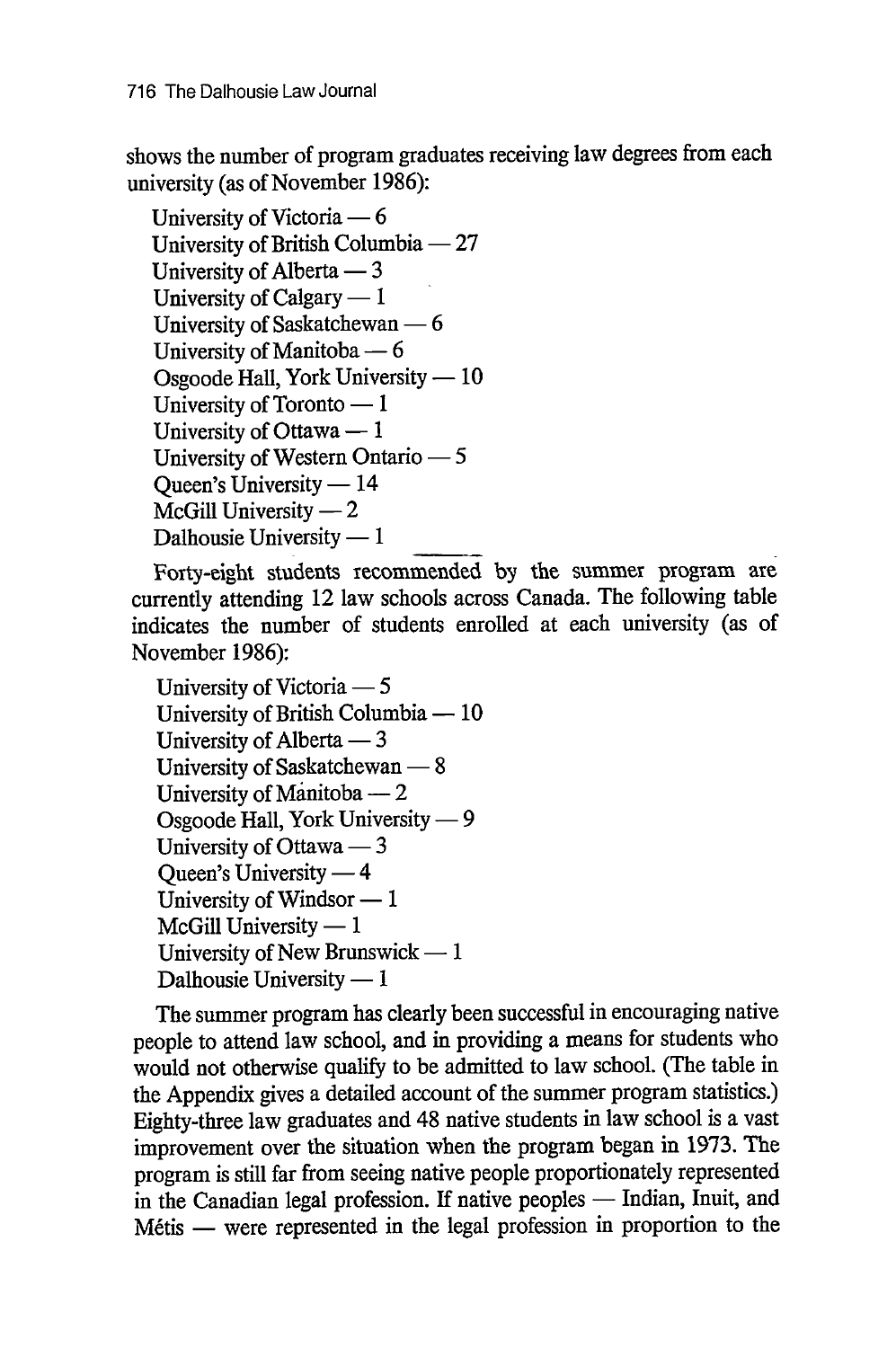shows the number of program graduates receiving law degrees from each university (as of November 1986):

University of Victoria – 6 University of British Columbia - 27 University of Alberta  $-3$ University of Calgary  $-1$ University of Saskatchewan  $- 6$ University of Manitoba - 6 Osgoode Hall, York University  $-10$ University of Toronto  $-1$ University of Ottawa  $-1$ University of Western Ontario - 5 Queen's University  $-14$  $McGill$  University  $-2$ Dalhousie University  $-1$ 

Forty-eight students recommended **by** the summer program are currently attending 12 law schools across Canada. The following table indicates the number of students enrolled at each university (as of November 1986):

University of Victoria – 5 University of British Columbia  $-10$ University of Alberta  $-3$ University of Saskatchewan  $- 8$ University of Manitoba  $-2$ Osgoode Hall, York University  $-9$ University of Ottawa — 3 Queen's University  $-4$ University of Windsor **-** 1  $McGill$  University  $-1$ University of New Brunswick  $-1$ Dalhousie University  $-1$ 

The summer program has clearly been successful in encouraging native people to attend law school, and in providing a means for students who would not otherwise qualify to be admitted to law school. (The table in the Appendix gives a detailed account of the summer program statistics.) Eighty-three law graduates and 48 native students in law school is a vast improvement over the situation when the program began in 1973. The program is still far from seeing native people proportionately represented in the Canadian legal profession. If native peoples - Indian, Inuit, and Métis — were represented in the legal profession in proportion to the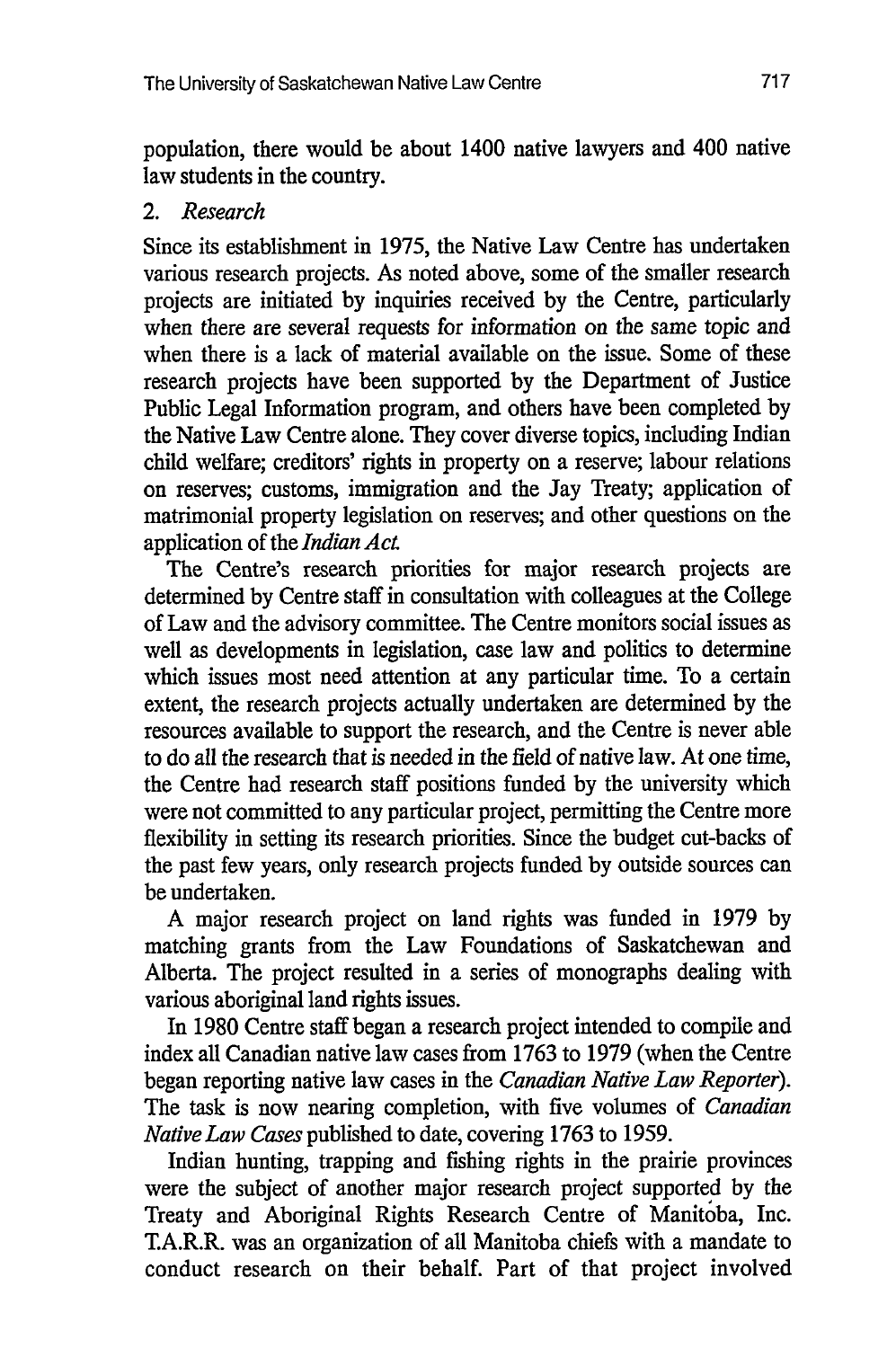population, there would be about 1400 native lawyers and 400 native law students in the country.

#### *2. Research*

Since its establishment in 1975, the Native Law Centre has undertaken various research projects. As noted above, some of the smaller research projects are initiated by inquiries received by the Centre, particularly when there are several requests for information on the same topic and when there is a lack of material available on the issue. Some of these research projects have been supported by the Department of Justice Public Legal Information program, and others have been completed by the Native Law Centre alone. They cover diverse topics, including Indian child welfare; creditors' rights in property on a reserve; labour relations on reserves; customs, immigration and the Jay Treaty; application of matrimonial property legislation on reserves; and other questions on the application of the *Indian Act*

The Centre's research priorities for major research projects are determined by Centre staff in consultation with colleagues at the College of Law and the advisory committee. The Centre monitors social issues as well as developments in legislation, case law and politics to determine which issues most need attention at any particular time. To a certain extent, the research projects actually undertaken are determined by the resources available to support the research, and the Centre is never able to do all the research that is needed in the field of native law. At one time, the Centre had research staff positions funded by the university which were not committed to any particular project, permitting the Centre more flexibility in setting its research priorities. Since the budget cut-backs of the past few years, only research projects funded by outside sources can be undertaken.

A major research project on land rights was funded in 1979 by matching grants from the Law Foundations of Saskatchewan and Alberta. The project resulted in a series of monographs dealing with various aboriginal land rights issues.

In 1980 Centre staff began a research project intended to compile and index all Canadian native law cases from 1763 to 1979 (when the Centre began reporting native law cases in the *Canadian Native Law Reporter).* The task is now nearing completion, with five volumes of *Canadian Native Law Cases* published to date, covering 1763 to 1959.

Indian hunting, trapping and fishing rights in the prairie provinces were the subject of another major research project supported by the Treaty and Aboriginal Rights Research Centre of Manitoba, Inc. T.A.R.R. was an organization of all Manitoba chiefs with a mandate to conduct research on their behalf. Part of that project involved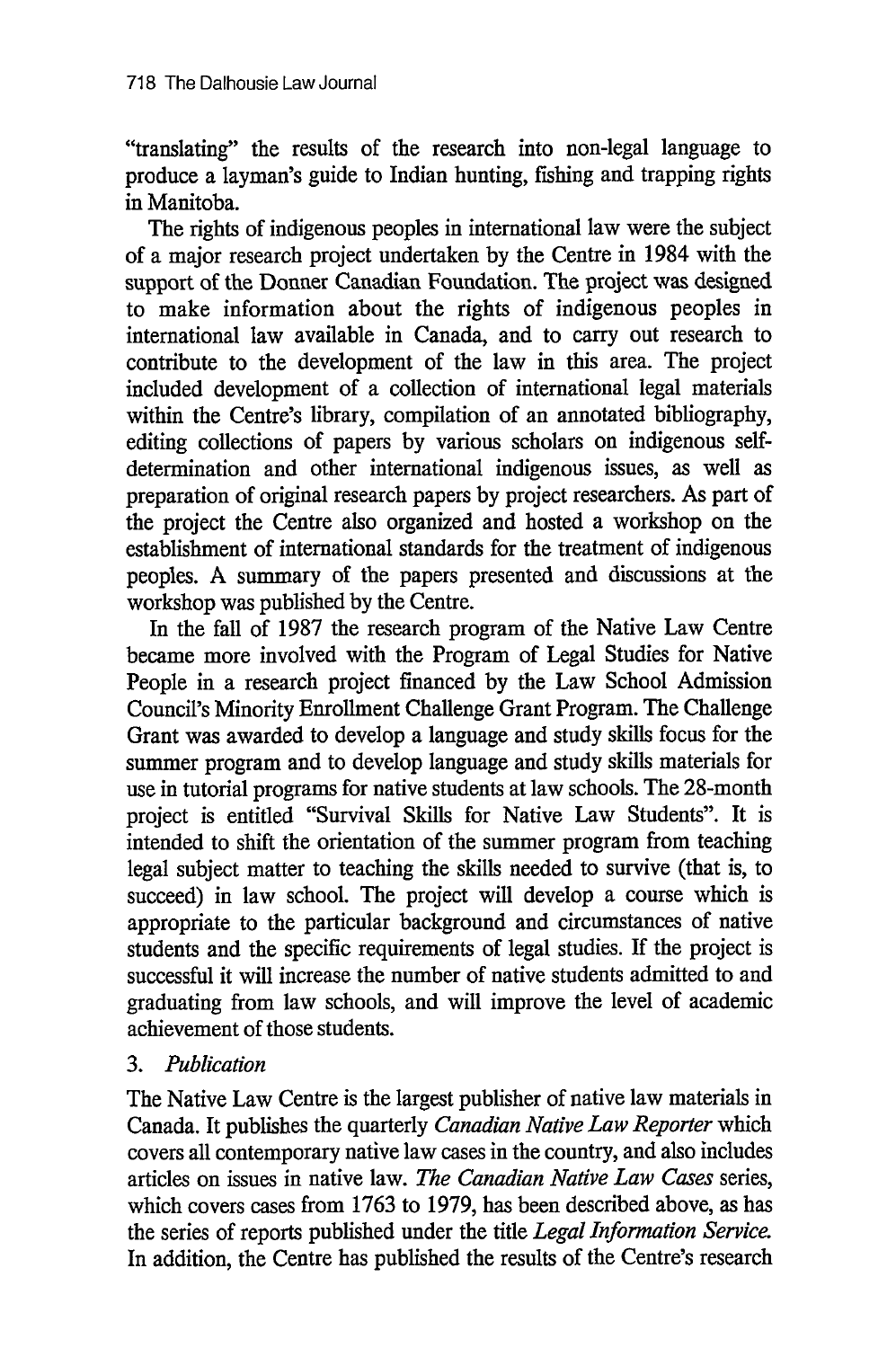"translating" the results of the research into non-legal language to produce a layman's guide to Indian hunting, fishing and trapping rights in Manitoba.

The rights of indigenous peoples in international law were the subject of a major research project undertaken by the Centre in 1984 with the support of the Donner Canadian Foundation. The project was designed to make information about the rights of indigenous peoples in international law available in Canada, and to carry out research to contribute to the development of the law in this area. The project included development of a collection of international legal materials within the Centre's library, compilation of an annotated bibliography, editing collections of papers by various scholars on indigenous selfdetermination and other international indigenous issues, as well as preparation of original research papers by project researchers. As part of the project the Centre also organized and hosted a workshop on the establishment of international standards for the treatment of indigenous peoples. A summary of the papers presented and discussions at the workshop was published by the Centre.

In the fall of 1987 the research program of the Native Law Centre became more involved with the Program of Legal Studies for Native People in a research project financed by the Law School Admission Council's Minority Enrollment Challenge Grant Program. The Challenge Grant was awarded to develop a language and study skills focus for the summer program and to develop language and study skills materials for use in tutorial programs for native students at law schools. The 28-month project is entitled "Survival Skills for Native Law Students". It is intended to shift the orientation of the summer program from teaching legal subject matter to teaching the skills needed to survive (that is, to succeed) in law school. The project will develop a course which is appropriate to the particular background and circumstances of native students and the specific requirements of legal studies. If the project is successful it will increase the number of native students admitted to and graduating from law schools, and will improve the level of academic achievement of those students.

### *3. Publication*

The Native Law Centre is the largest publisher of native law materials in Canada. It publishes the quarterly *Canadian Native Law Reporter* which covers all contemporary native law cases in the country, and also includes articles on issues in native law. *The Canadian Native Law Cases* series, which covers cases from 1763 to 1979, has been described above, as has the series of reports published under the title *Legal Information Service.* In addition, the Centre has published the results of the Centre's research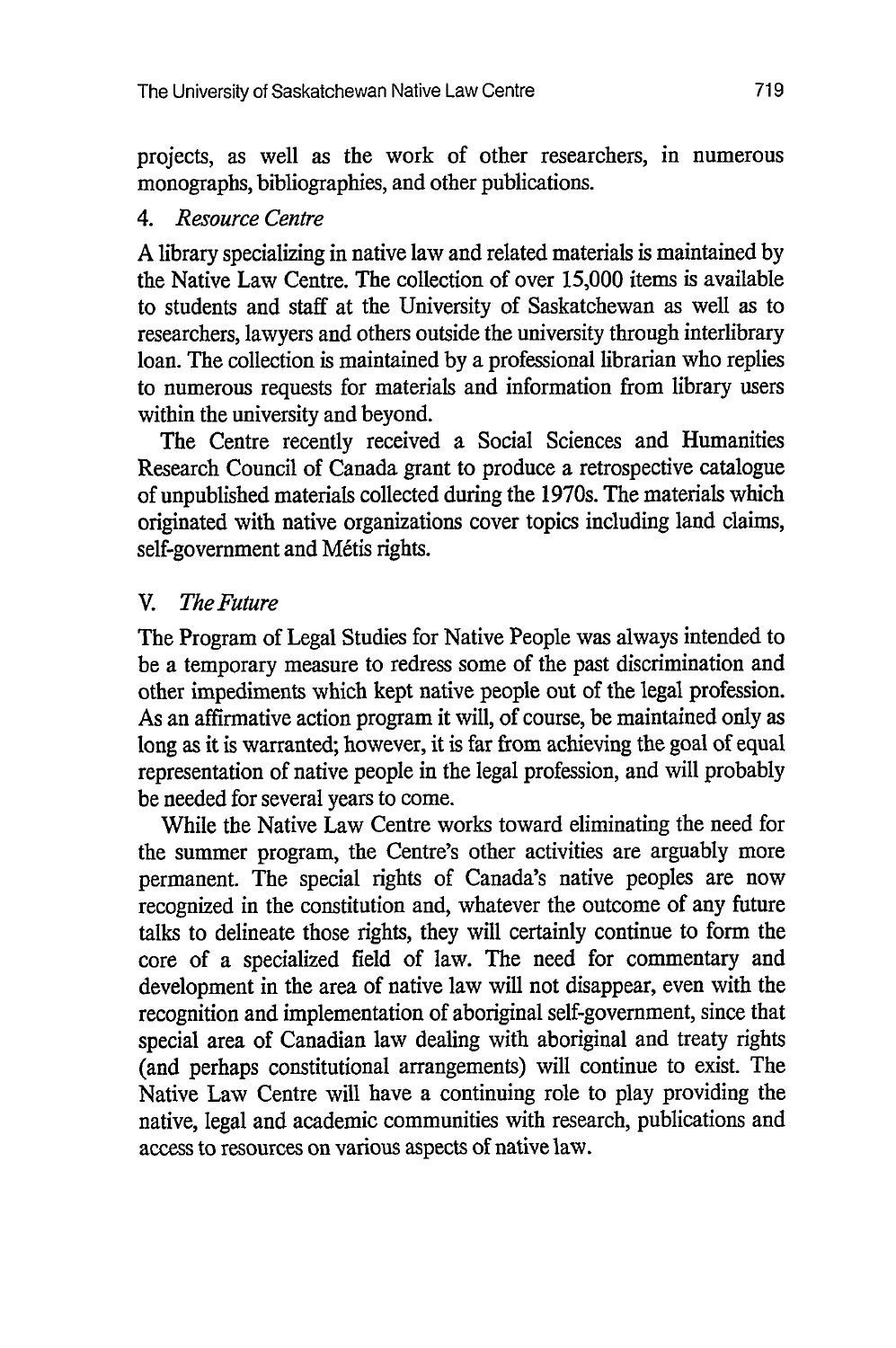projects, as well as the work of other researchers, in numerous monographs, bibliographies, and other publications.

### *4. Resource Centre*

A library specializing in native law and related materials is maintained by the Native Law Centre. The collection of over 15,000 items is available to students and staff at the University of Saskatchewan as well as to researchers, lawyers and others outside the university through interlibrary loan. The collection is maintained by a professional librarian who replies to numerous requests for materials and information from library users within the university and beyond.

The Centre recently received a Social Sciences and Humanities Research Council of Canada grant to produce a retrospective catalogue of unpublished materials collected during the 1970s. The materials which originated with native organizations cover topics including land claims, self-government and Métis rights.

## *V. The Future*

The Program of Legal Studies for Native People was always intended to be a temporary measure to redress some of the past discrimination and other impediments which kept native people out of the legal profession. As an affirmative action program it will, of course, be maintained only as long as it is warranted; however, it is far from achieving the goal of equal representation of native people in the legal profession, and will probably be needed for several years to come.

While the Native Law Centre works toward eliminating the need for the summer program, the Centre's other activities are arguably more permanent. The special rights of Canada's native peoples are now recognized in the constitution and, whatever the outcome of any future talks to delineate those rights, they will certainly continue to form the core of a specialized field of law. The need for commentary and development in the area of native law will not disappear, even with the recognition and implementation of aboriginal self-government, since that special area of Canadian law dealing with aboriginal and treaty rights (and perhaps constitutional arrangements) will continue to exist. The Native Law Centre will have a continuing role to play providing the native, legal and academic communities with research, publications and access to resources on various aspects of native law.